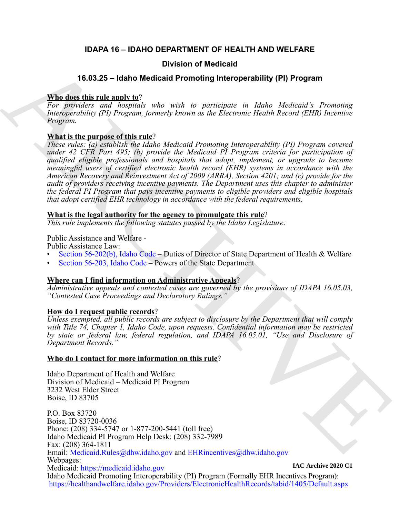### **IDAPA 16 – IDAHO DEPARTMENT OF HEALTH AND WELFARE**

### **Division of Medicaid**

## **16.03.25 – Idaho Medicaid Promoting Interoperability (PI) Program**

#### **Who does this rule apply to**?

*For providers and hospitals who wish to participate in Idaho Medicaid's Promoting Interoperability (PI) Program, formerly known as the Electronic Health Record (EHR) Incentive Program.*

### **What is the purpose of this rule**?

**16.03.25 – Idaho Medicaid Promoting Interoperability (PI) Program**<br> **AR[E](mailto: EHRincentives@dhw.idaho.gov) disc this rule and v. 26**<br>
For goodserve and housings, when with the propertie to the Determine Health Record (FiH) herearing<br>
towage on the prog *These rules: (a) establish the Idaho Medicaid Promoting Interoperability (PI) Program covered under 42 CFR Part 495; (b) provide the Medicaid PI Program criteria for participation of qualified eligible professionals and hospitals that adopt, implement, or upgrade to become meaningful users of certified electronic health record (EHR) systems in accordance with the American Recovery and Reinvestment Act of 2009 (ARRA), Section 4201; and (c) provide for the audit of providers receiving incentive payments. The Department uses this chapter to administer the federal PI Program that pays incentive payments to eligible providers and eligible hospitals that adopt certified EHR technology in accordance with the federal requirements.*

#### **What is the legal authority for the agency to promulgate this rule**?

*This rule implements the following statutes passed by the Idaho Legislature:*

Public Assistance and Welfare -

Public Assistance Law:

- Section 56-202(b), Idaho Code Duties of Director of State Department of Health & Welfare
- Section 56-203, Idaho Code Powers of the State Department

### **Where can I find information on Administrative Appeals**?

*Administrative appeals and contested cases are governed by the provisions of IDAPA 16.05.03, "Contested Case Proceedings and Declaratory Rulings."*

### **How do I request public records**?

*Unless exempted, all public records are subject to disclosure by the Department that will comply with Title 74, Chapter 1, Idaho Code, upon requests. Confidential information may be restricted by state or federal law, federal regulation, and IDAPA 16.05.01, "Use and Disclosure of Department Records."*

### **Who do I contact for more information on this rule**?

Idaho Department of Health and Welfare Division of Medicaid – Medicaid PI Program 3232 West Elder Street Boise, ID 83705

P.O. Box 83720 Boise, ID 83720-0036 Phone: (208) 334-5747 or 1-877-200-5441 (toll free) Idaho Medicaid PI Program Help Desk: (208) 332-7989 Fax: (208) 364-1811 Email: Medicaid.Rules@dhw.idaho.gov and EHRincentives@dhw.idaho.gov Webpages: Medicaid: [https://medicaid.idaho.gov](https://medicaid.idaho.gov/) Idaho Medicaid Promoting Interoperability (PI) Program (Formally EHR Incentives Program): <https://healthandwelfare.idaho.gov/Providers/ElectronicHealthRecords/tabid/1405/Default.aspx> **IAC Archive 2020 C1**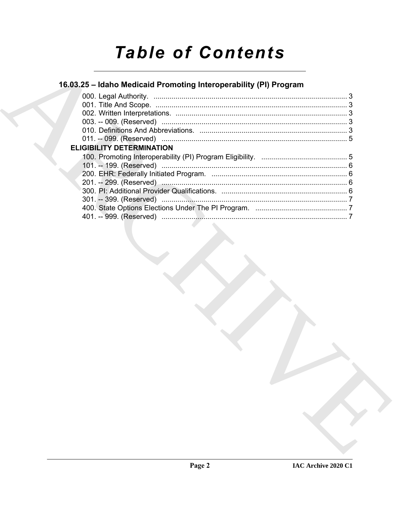# **Table of Contents**

## 16.03.25 - Idaho Medicaid Promoting Interoperability (PI) Program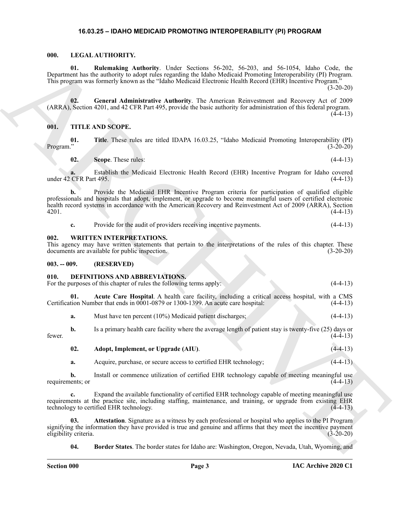#### <span id="page-2-13"></span><span id="page-2-11"></span>**16.03.25 – IDAHO MEDICAID PROMOTING INTEROPERABILITY (PI) PROGRAM**

#### <span id="page-2-1"></span><span id="page-2-0"></span>**000. LEGAL AUTHORITY.**

**01. Rulemaking Authority**. Under Sections 56-202, 56-203, and 56-1054, Idaho Code, the Department has the authority to adopt rules regarding the Idaho Medicaid Promoting Interoperability (PI) Program. This program was formerly known as the "Idaho Medicaid Electronic Health Record (EHR) Incentive Program."

(3-20-20)

<span id="page-2-12"></span>**02. General Administrative Authority**. The American Reinvestment and Recovery Act of 2009 (ARRA), Section 4201, and 42 CFR Part 495, provide the basic authority for administration of this federal program.  $(4-4-13)$ 

#### <span id="page-2-14"></span><span id="page-2-2"></span>**001. TITLE AND SCOPE.**

**01.** Title. These rules are titled IDAPA 16.03.25, "Idaho Medicaid Promoting Interoperability (PI)<br>(3-20-20) Program." (3-20-20)

<span id="page-2-16"></span><span id="page-2-15"></span>**02. Scope**. These rules: (4-4-13)

**a.** Establish the Medicaid Electronic Health Record (EHR) Incentive Program for Idaho covered under  $42$  CFR Part 495. (4-4-13)

0.<br>
Appendix in Bottomakey Awabrick, Toker Residents Social Award Stocks Associates (and the Controlling Proposition Controlling Proposition 2011)<br>
This popular was the main of the Model Mechanism and the second in the s **b.** Provide the Medicaid EHR Incentive Program criteria for participation of qualified eligible professionals and hospitals that adopt, implement, or upgrade to become meaningful users of certified electronic health record systems in accordance with the American Recovery and Reinvestment Act of 2009 (ARRA), Section 4201. (4-4-13)

<span id="page-2-17"></span>

|  | Provide for the audit of providers receiving incentive payments. |  |  |
|--|------------------------------------------------------------------|--|--|
|  |                                                                  |  |  |

#### <span id="page-2-3"></span>**002. WRITTEN INTERPRETATIONS.**

This agency may have written statements that pertain to the interpretations of the rules of this chapter. These documents are available for public inspection. (3-20-20)

#### <span id="page-2-4"></span>**003. -- 009. (RESERVED)**

#### <span id="page-2-6"></span><span id="page-2-5"></span>**010. DEFINITIONS AND ABBREVIATIONS.**

For the purposes of this chapter of rules the following terms apply: (4-4-13)

**01. Acute Care Hospital**. A health care facility, including a critical access hospital, with a CMS Certification Number that ends in 0001-0879 or 1300-1399. An acute care hospital: (4-4-13)

<span id="page-2-7"></span>**a.** Must have ten percent (10%) Medicaid patient discharges; (4-4-13)

**b.** Is a primary health care facility where the average length of patient stay is twenty-five (25) days or fewer.  $(4-4-13)$ 

#### <span id="page-2-8"></span>**02. Adopt, Implement, or Upgrade (AIU)**. (4-4-13)

**a.** Acquire, purchase, or secure access to certified EHR technology; (4-4-13)

**b.** Install or commence utilization of certified EHR technology capable of meeting meaningful use requirements; or  $(4-4-13)$ 

**c.** Expand the available functionality of certified EHR technology capable of meeting meaningful use requirements at the practice site, including staffing, maintenance, and training, or upgrade from existing EHR technology to certified EHR technology. (4-4-13)

**03. Attestation**. Signature as a witness by each professional or hospital who applies to the PI Program signifying the information they have provided is true and genuine and affirms that they meet the incentive payment eligibility criteria. (3-20-20)

<span id="page-2-10"></span><span id="page-2-9"></span>**04. Border States**. The border states for Idaho are: Washington, Oregon, Nevada, Utah, Wyoming, and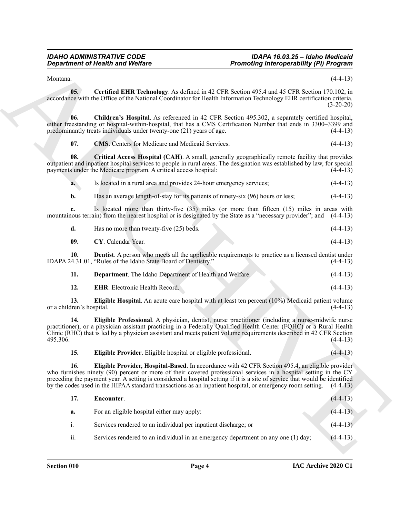#### <span id="page-3-3"></span><span id="page-3-2"></span><span id="page-3-1"></span><span id="page-3-0"></span>*IDAHO ADMINISTRATIVE CODE IDAPA 16.03.25 – Idaho Medicaid Promoting Interoperability (PI) Program*

<span id="page-3-12"></span><span id="page-3-11"></span><span id="page-3-10"></span><span id="page-3-9"></span><span id="page-3-8"></span><span id="page-3-7"></span><span id="page-3-6"></span><span id="page-3-5"></span><span id="page-3-4"></span>

| Department. The Idaho Department of Health and Welfare. | $(4-4-13)$ |
|---------------------------------------------------------|------------|
|---------------------------------------------------------|------------|

|                                  | <b>Department of Health and Welfare</b>                                                                                                                                                                                                                                                                                                                                                                                                                         | <b>Promoting Interoperability (PI) Program</b> |
|----------------------------------|-----------------------------------------------------------------------------------------------------------------------------------------------------------------------------------------------------------------------------------------------------------------------------------------------------------------------------------------------------------------------------------------------------------------------------------------------------------------|------------------------------------------------|
| Montana.                         |                                                                                                                                                                                                                                                                                                                                                                                                                                                                 | $(4-4-13)$                                     |
| 05.                              | Certified EHR Technology. As defined in 42 CFR Section 495.4 and 45 CFR Section 170.102, in<br>accordance with the Office of the National Coordinator for Health Information Technology EHR certification criteria.                                                                                                                                                                                                                                             | $(3-20-20)$                                    |
| 06.                              | Children's Hospital. As referenced in 42 CFR Section 495.302, a separately certified hospital,<br>either freestanding or hospital-within-hospital, that has a CMS Certification Number that ends in 3300–3399 and<br>predominantly treats individuals under twenty-one (21) years of age.                                                                                                                                                                       | $(4-4-13)$                                     |
| 07.                              | <b>CMS.</b> Centers for Medicare and Medicaid Services.                                                                                                                                                                                                                                                                                                                                                                                                         | $(4-4-13)$                                     |
| 08.                              | Critical Access Hospital (CAH). A small, generally geographically remote facility that provides<br>outpatient and inpatient hospital services to people in rural areas. The designation was established by law, for special<br>payments under the Medicare program. A critical access hospital:                                                                                                                                                                 | $(4-4-13)$                                     |
| a.                               | Is located in a rural area and provides 24-hour emergency services;                                                                                                                                                                                                                                                                                                                                                                                             | $(4-4-13)$                                     |
| b.                               | Has an average length-of-stay for its patients of ninety-six (96) hours or less;                                                                                                                                                                                                                                                                                                                                                                                | $(4-4-13)$                                     |
| c.                               | Is located more than thirty-five (35) miles (or more than fifteen (15) miles in areas with<br>mountainous terrain) from the nearest hospital or is designated by the State as a "necessary provider"; and (4-4-13)                                                                                                                                                                                                                                              |                                                |
| d.                               | Has no more than twenty-five (25) beds.                                                                                                                                                                                                                                                                                                                                                                                                                         | $(4-4-13)$                                     |
| 09.                              | CY. Calendar Year.                                                                                                                                                                                                                                                                                                                                                                                                                                              | $(4-4-13)$                                     |
| 10.                              | <b>Dentist</b> . A person who meets all the applicable requirements to practice as a licensed dentist under<br>IDAPA 24.31.01, "Rules of the Idaho State Board of Dentistry."                                                                                                                                                                                                                                                                                   | $(4-4-13)$                                     |
| 11.                              | Department. The Idaho Department of Health and Welfare.                                                                                                                                                                                                                                                                                                                                                                                                         | $(4-4-13)$                                     |
| 12.                              | <b>EHR.</b> Electronic Health Record.                                                                                                                                                                                                                                                                                                                                                                                                                           | $(4-4-13)$                                     |
| 13.<br>or a children's hospital. | Eligible Hospital. An acute care hospital with at least ten percent $(10%)$ Medicaid patient volume                                                                                                                                                                                                                                                                                                                                                             | $(4-4-13)$                                     |
| 14.<br>495.306.                  | Eligible Professional. A physician, dentist, nurse practitioner (including a nurse-midwife nurse<br>practitioner), or a physician assistant practicing in a Federally Qualified Health Center (FQHC) or a Rural Health<br>Clinic (RHC) that is led by a physician assistant and meets patient volume requirements described in 42 CFR Section                                                                                                                   | $(4-4-13)$                                     |
| 15.                              | Eligible Provider. Eligible hospital or eligible professional.                                                                                                                                                                                                                                                                                                                                                                                                  | $(4-4-13)$                                     |
| 16.                              | Eligible Provider, Hospital-Based. In accordance with 42 CFR Section 495.4, an eligible provider<br>who furnishes ninety (90) percent or more of their covered professional services in a hospital setting in the CY<br>preceding the payment year. A setting is considered a hospital setting if it is a site of service that would be identified<br>by the codes used in the HIPAA standard transactions as an inpatient hospital, or emergency room setting. | $(4-4-13)$                                     |
| 17.                              | Encounter.                                                                                                                                                                                                                                                                                                                                                                                                                                                      | $(4-4-13)$                                     |
| a.                               | For an eligible hospital either may apply:                                                                                                                                                                                                                                                                                                                                                                                                                      | $(4-4-13)$                                     |
| i.                               | Services rendered to an individual per inpatient discharge; or                                                                                                                                                                                                                                                                                                                                                                                                  | $(4-4-13)$                                     |
| ii.                              | Services rendered to an individual in an emergency department on any one (1) day;                                                                                                                                                                                                                                                                                                                                                                               | $(4-4-13)$                                     |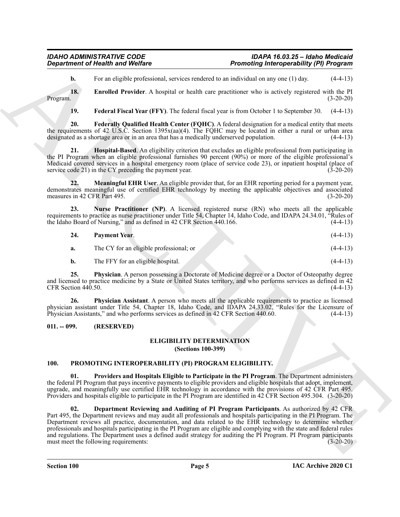#### *IDAHO ADMINISTRATIVE CODE IDAPA 16.03.25 – Idaho Medicaid Promoting Interoperability (PI) Program*

<span id="page-4-3"></span>**b.** For an eligible professional, services rendered to an individual on any one (1) day. (4-4-13)

**18. Enrolled Provider**. A hospital or health care practitioner who is actively registered with the PI Program. (3-20-20)

<span id="page-4-6"></span><span id="page-4-5"></span><span id="page-4-4"></span>**19. Federal Fiscal Year (FFY)**. The federal fiscal year is from October 1 to September 30. (4-4-13)

**20. Federally Qualified Health Center (FQHC)**. A federal designation for a medical entity that meets the requirements of 42 U.S.C. Section 1395x(aa)(4). The FQHC may be located in either a rural or urban area designated as a shortage area or in an area that has a medically underserved population. (4-4-13)

**21. Hospital-Based**. An eligibility criterion that excludes an eligible professional from participating in the PI Program when an eligible professional furnishes 90 percent (90%) or more of the eligible professional's Medicaid covered services in a hospital emergency room (place of service code 23), or inpatient hospital (place of service code 21) in the CY preceding the payment year. (3-20-20)

<span id="page-4-7"></span>**22. Meaningful EHR User**. An eligible provider that, for an EHR reporting period for a payment year, demonstrates meaningful use of certified EHR technology by meeting the applicable objectives and associated measures in 42 CFR Part 495. (3-20-20)

**23. Nurse Practitioner (NP)**. A licensed registered nurse (RN) who meets all the applicable requirements to practice as nurse practitioner under Title 54, Chapter 14, Idaho Code, and IDAPA 24.34.01, "Rules of the Idaho Board of Nursing," and as defined in 42 CFR Section 440.166. the Idaho Board of Nursing," and as defined in  $42$  CFR Section  $440.166$ .

<span id="page-4-10"></span><span id="page-4-9"></span><span id="page-4-8"></span>

| 24. | <b>Payment Year.</b>                    | $(4-4-13)$ |
|-----|-----------------------------------------|------------|
| а.  | The CY for an eligible professional; or | $(4-4-13)$ |
|     | The FFY for an eligible hospital.       | $(4-4-13)$ |

**25. Physician**. A person possessing a Doctorate of Medicine degree or a Doctor of Osteopathy degree and licensed to practice medicine by a State or United States territory, and who performs services as defined in 42  $CFR Section 440.50.$  (4-4-13)

<span id="page-4-11"></span>**26. Physician Assistant**. A person who meets all the applicable requirements to practice as licensed physician assistant under Title 54, Chapter 18, Idaho Code, and IDAPA 24.33.02, "Rules for the Licensure of Physician Assistants," and who performs services as defined in 42 CFR Section 440.60. (4-4-13)

#### <span id="page-4-1"></span><span id="page-4-0"></span>**011. -- 099. (RESERVED)**

## <span id="page-4-12"></span>**ELIGIBILITY DETERMINATION**

**(Sections 100-399)**

#### <span id="page-4-13"></span><span id="page-4-2"></span>**100. PROMOTING INTEROPERABILITY (PI) PROGRAM ELIGIBILITY.**

**01. Providers and Hospitals Eligible to Participate in the PI Program**. The Department administers the federal PI Program that pays incentive payments to eligible providers and eligible hospitals that adopt, implement, upgrade, and meaningfully use certified EHR technology in accordance with the provisions of 42 CFR Part 495. Providers and hospitals eligible to participate in the PI Program are identified in 42 CFR Section 495.304. (3-20-20)

**Expansion of Newthern Controlling (CP) Proposition**<br> **Proposition CP**<br> **Expansion Controlling (CP) Proposition**<br> **Expansion Controlling (CP) CP**<br> **Expansion Controlling CP**<br> **Expansion Controlling CP**<br> **Expansion 02. Department Reviewing and Auditing of PI Program Participants**. As authorized by 42 CFR Part 495, the Department reviews and may audit all professionals and hospitals participating in the PI Program. The Department reviews all practice, documentation, and data related to the EHR technology to determine whether professionals and hospitals participating in the PI Program are eligible and complying with the state and federal rules and regulations. The Department uses a defined audit strategy for auditing the PI Program. PI Program participants must meet the following requirements: must meet the following requirements: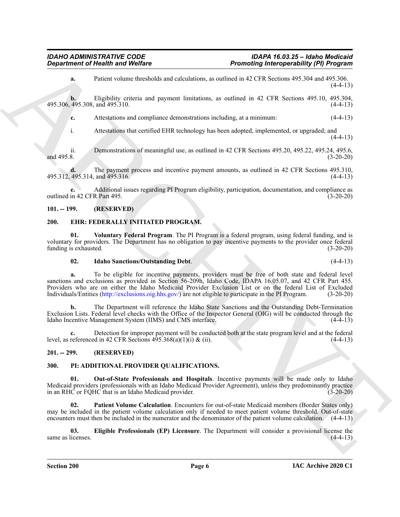**a.** Patient volume thresholds and calculations, as outlined in 42 CFR Sections 495.304 and 495.306.  $(4-4-13)$ 

**b.** Eligibility criteria and payment limitations, as outlined in 42 CFR Sections 495.10, 495.304, 495.306, 495.308, and 495.310. (4-4-13)

**c.** Attestations and compliance demonstrations including, at a minimum: (4-4-13)

i. Attestations that certified EHR technology has been adopted, implemented, or upgraded; and  $(4-4-13)$ 

ii. Demonstrations of meaningful use, as outlined in 42 CFR Sections 495.20, 495.22, 495.24, 495.6, and 495.8. (3-20-20)

**d.** The payment process and incentive payment amounts, as outlined in 42 CFR Sections 495.310, 495.312, 495.314, and 495.316. (4-4-13)

**e.** Additional issues regarding PI Program eligibility, participation, documentation, and compliance as outlined in 42 CFR Part 495. (3-20-20)

#### <span id="page-5-4"></span><span id="page-5-0"></span>**101. -- 199. (RESERVED)**

#### <span id="page-5-1"></span>**200. EHR: FEDERALLY INITIATED PROGRAM.**

**01. Voluntary Federal Program**. The PI Program is a federal program, using federal funding, and is voluntary for providers. The Department has no obligation to pay incentive payments to the provider once federal funding is exhausted. (3-20-20)

#### <span id="page-5-6"></span><span id="page-5-5"></span>**02. Idaho Sanctions/Outstanding Debt**. (4-4-13)

**Department of Nealth wave Wolfing and School Archives and School Archives (25 (36 Section 2019) (26 Section 2019)**<br>
ARC[H](http://exclusions.oig.hhs.gov/)IVES and the School School School School School School School School School School School School Sch **a.** To be eligible for incentive payments, providers must be free of both state and federal level sanctions and exclusions as provided in Section 56-209h, Idaho Code, IDAPA 16.05.07, and 42 CFR Part 455. Providers who are on either the Idaho Medicaid Provider Exclusion List or on the federal List of Excluded Individuals/Entities (http://exclusions.oig.hhs.gov/) are not eligible to participate in the PI Program. (3-20-20)

**b.** The Department will reference the Idaho State Sanctions and the Outstanding Debt-Termination Exclusion Lists. Federal level checks with the Office of the Inspector General (OIG) will be conducted through the Idaho Incentive Management System (IIMS) and CMS interface. (4-4-13)

**c.** Detection for improper payment will be conducted both at the state program level and at the federal level, as referenced in 42 CFR Sections  $495.368(a)(1)(i) \& (ii)$ . (4-4-13)

#### <span id="page-5-2"></span>**201. -- 299. (RESERVED)**

#### <span id="page-5-7"></span><span id="page-5-3"></span>**300. PI: ADDITIONAL PROVIDER QUALIFICATIONS.**

**01. Out-of-State Professionals and Hospitals**. Incentive payments will be made only to Idaho Medicaid providers (professionals with an Idaho Medicaid Provider Agreement), unless they predominantly practice in an RHC or FQHC that is an Idaho Medicaid provider. (3-20-20)

**02. Patient Volume Calculation**. Encounters for out-of-state Medicaid members (Border States only) may be included in the patient volume calculation only if needed to meet patient volume threshold. Out-of-state encounters must then be included in the numerator and the denominator of the patient volume calculation. (4-4-13)

**03. Eligible Professionals (EP) Licensure**. The Department will consider a provisional license the same as licenses.  $(4-4-13)$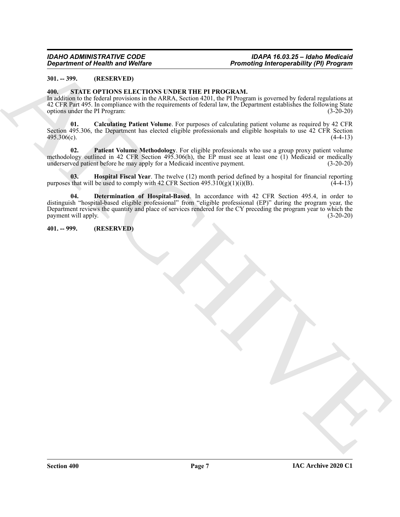#### *IDAHO ADMINISTRATIVE CODE IDAPA 16.03.25 – Idaho Medicaid Promoting Interoperability (PI) Program*

#### <span id="page-6-0"></span>**301. -- 399. (RESERVED)**

#### <span id="page-6-3"></span><span id="page-6-1"></span>**400. STATE OPTIONS ELECTIONS UNDER THE PI PROGRAM.**

In addition to the federal provisions in the ARRA, Section 4201, the PI Program is governed by federal regulations at 42 CFR Part 495. In compliance with the requirements of federal law, the Department establishes the following State options under the PI Program: (3-20-20)

**01. Calculating Patient Volume**. For purposes of calculating patient volume as required by 42 CFR Section 495.306, the Department has elected eligible professionals and eligible hospitals to use 42 CFR Section  $495.306(c)$ . (4-4-13)

**02. Patient Volume Methodology**. For eligible professionals who use a group proxy patient volume methodology outlined in 42 CFR Section 495.306(h), the EP must see at least one (1) Medicaid or medically underserved patient before he may apply for a Medicaid incentive payment. (3-20-20)

**03. Hospital Fiscal Year**. The twelve (12) month period defined by a hospital for financial reporting that will be used to comply with 42 CFR Section 495.310(g)(1)(i)(B). purposes that will be used to comply with 42 CFR Section 495.310(g)(1)(i)(B).

*Department of Next Britain Weblins*<br>
30. - 299. Mich 24: Mich 24: Mich 24: Mich 24: Mich 24: Mich 24: Mich 24: Mich 24: Mich 24: Mich 24: Mich 24: Mich 24: Mich 24: Mich 24: Mich 24: Mich 24: Mich 24: Mich 24: Mich 24: M **04. Determination of Hospital-Based**. In accordance with 42 CFR Section 495.4, in order to distinguish "hospital-based eligible professional" from "eligible professional (EP)" during the program year, the Department reviews the quantity and place of services rendered for the CY preceding the program year to which the payment will apply. (3-20-20) payment will apply.

<span id="page-6-2"></span>**401. -- 999. (RESERVED)**